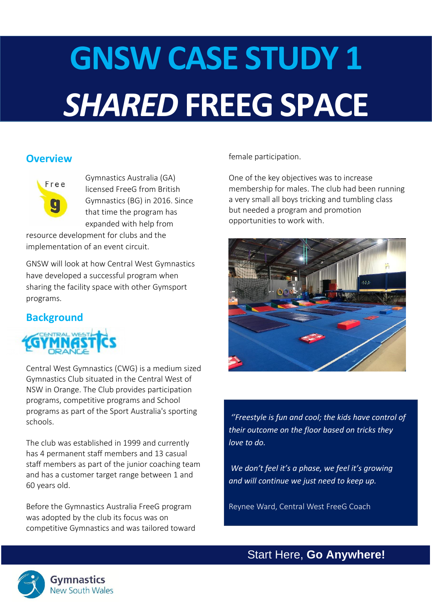# **GNSW CASE STUDY 1** *SHARED* **FREEG SPACE**

# **Overview**



Gymnastics Australia (GA) licensed FreeG from British Gymnastics (BG) in 2016. Since that time the program has expanded with help from

resource development for clubs and the implementation of an event circuit.

GNSW will look at how Central West Gymnastics have developed a successful program when sharing the facility space with other Gymsport programs.

# **Background**



Central West Gymnastics (CWG) is a medium sized Gymnastics Club situated in the Central West of NSW in Orange. The Club provides participation programs, competitive programs and School programs as part of the Sport Australia's sporting schools.

The club was established in 1999 and currently has 4 permanent staff members and 13 casual staff members as part of the junior coaching team and has a customer target range between 1 and 60 years old.

Before the Gymnastics Australia FreeG program was adopted by the club its focus was on competitive Gymnastics and was tailored toward female participation.

One of the key objectives was to increase membership for males. The club had been running a very small all boys tricking and tumbling class but needed a program and promotion opportunities to work with.



*''Freestyle is fun and cool; the kids have control of their outcome on the floor based on tricks they love to do.*

*We don't feel it's a phase, we feel it's growing and will continue we just need to keep up.* 

Reynee Ward, Central West FreeG Coach

Start Here, **Go Anywhere!**